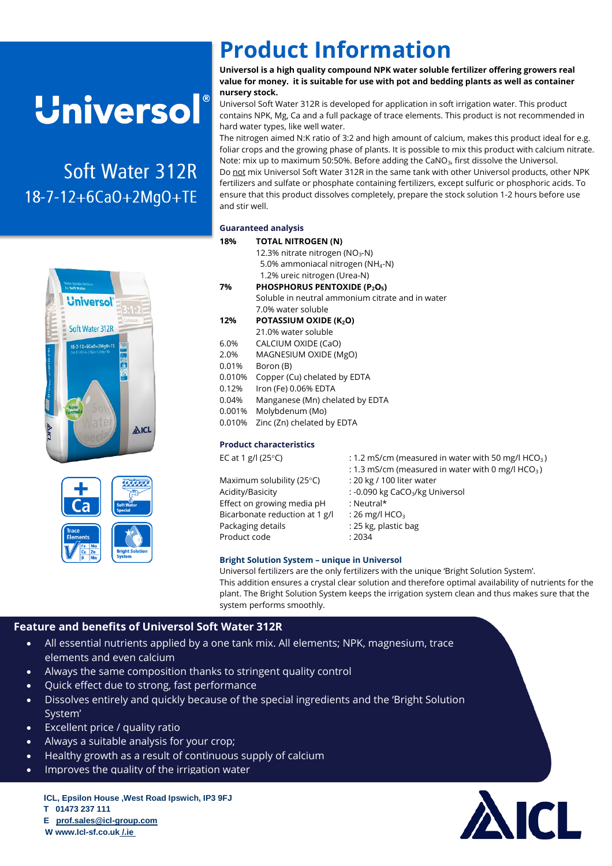## **Universol**®

# Soft Water 312R





### **Product Information**

**Universol is a high quality compound NPK water soluble fertilizer offering growers real value for money. it is suitable for use with pot and bedding plants as well as container nursery stock.**

Universol Soft Water 312R is developed for application in soft irrigation water. This product contains NPK, Mg, Ca and a full package of trace elements. This product is not recommended in hard water types, like well water.

The nitrogen aimed N:K ratio of 3:2 and high amount of calcium, makes this product ideal for e.g. foliar crops and the growing phase of plants. It is possible to mix this product with calcium nitrate. Note: mix up to maximum 50:50%. Before adding the CaNO<sub>3</sub>, first dissolve the Universol. Do not mix Universol Soft Water 312R in the same tank with other Universol products, other NPK fertilizers and sulfate or phosphate containing fertilizers, except sulfuric or phosphoric acids. To ensure that this product dissolves completely, prepare the stock solution 1-2 hours before use and stir well.

#### **Guaranteed analysis**

|  | 18%                            | <b>TOTAL NITROGEN (N)</b>                                                                                                                |                                                                |  |  |  |
|--|--------------------------------|------------------------------------------------------------------------------------------------------------------------------------------|----------------------------------------------------------------|--|--|--|
|  |                                | 12.3% nitrate nitrogen (NO <sub>3</sub> -N)                                                                                              |                                                                |  |  |  |
|  |                                | 5.0% ammoniacal nitrogen (NH <sub>4</sub> -N)                                                                                            |                                                                |  |  |  |
|  |                                | 1.2% ureic nitrogen (Urea-N)                                                                                                             |                                                                |  |  |  |
|  | 7%                             | PHOSPHORUS PENTOXIDE (P2O5)<br>Soluble in neutral ammonium citrate and in water                                                          |                                                                |  |  |  |
|  |                                |                                                                                                                                          |                                                                |  |  |  |
|  |                                | 7.0% water soluble                                                                                                                       |                                                                |  |  |  |
|  | 12%                            | POTASSIUM OXIDE (K2O)                                                                                                                    |                                                                |  |  |  |
|  |                                | 21.0% water soluble                                                                                                                      |                                                                |  |  |  |
|  | 6.0%                           | CALCIUM OXIDE (CaO)                                                                                                                      |                                                                |  |  |  |
|  | 2.0%                           | MAGNESIUM OXIDE (MgO)                                                                                                                    |                                                                |  |  |  |
|  | 0.01%                          | Boron (B)                                                                                                                                |                                                                |  |  |  |
|  | 0.010%                         | Copper (Cu) chelated by EDTA<br>Iron (Fe) 0.06% EDTA<br>Manganese (Mn) chelated by EDTA<br>Molybdenum (Mo)<br>Zinc (Zn) chelated by EDTA |                                                                |  |  |  |
|  | 0.12%                          |                                                                                                                                          |                                                                |  |  |  |
|  | 0.04%                          |                                                                                                                                          |                                                                |  |  |  |
|  | 0.001%                         |                                                                                                                                          |                                                                |  |  |  |
|  | 0.010%                         |                                                                                                                                          |                                                                |  |  |  |
|  | <b>Product characteristics</b> |                                                                                                                                          |                                                                |  |  |  |
|  |                                | EC at 1 g/l (25 $\degree$ C)                                                                                                             | : 1.2 mS/cm (measured in water with 50 mg/l HCO <sub>3</sub> ) |  |  |  |
|  |                                |                                                                                                                                          | : 1.3 mS/cm (measured in water with 0 mg/l HCO <sub>3</sub> )  |  |  |  |
|  |                                | Maximum solubility (25°C)                                                                                                                | : 20 kg / 100 liter water                                      |  |  |  |
|  | Acidity/Basicity               |                                                                                                                                          | : -0.090 kg CaCO <sub>3</sub> /kg Universol                    |  |  |  |
|  |                                | Effect on growing media pH                                                                                                               | : Neutral*                                                     |  |  |  |
|  |                                | Bicarbonate reduction at 1 g/l                                                                                                           | : 26 mg/l $HCO3$                                               |  |  |  |
|  |                                | Packaging details                                                                                                                        | : 25 kg, plastic bag                                           |  |  |  |
|  | Product code                   |                                                                                                                                          | : 2034                                                         |  |  |  |

#### **Bright Solution System – unique in Universol**

Universol fertilizers are the only fertilizers with the unique 'Bright Solution System'. This addition ensures a crystal clear solution and therefore optimal availability of nutrients for the plant. The Bright Solution System keeps the irrigation system clean and thus makes sure that the system performs smoothly.

#### **Feature and benefits of Universol Soft Water 312R**

- All essential nutrients applied by a one tank mix. All elements; NPK, magnesium, trace elements and even calcium
- Always the same composition thanks to stringent quality control
- Quick effect due to strong, fast performance
- Dissolves entirely and quickly because of the special ingredients and the 'Bright Solution System'
- Excellent price / quality ratio
- Dis Always a suitable analysis for your crop;
- Healthy growth as a result of continuous supply of calcium
- Improves the quality of the irrigation water

**ICL, Epsilon House ,West Road Ipswich, IP3 9FJ T 01473 237 111 E [prof.sales@icl-group.com](mailto:prof.sales@icl-group.com)**

 **W www.Icl-sf.co.uk /.ie**